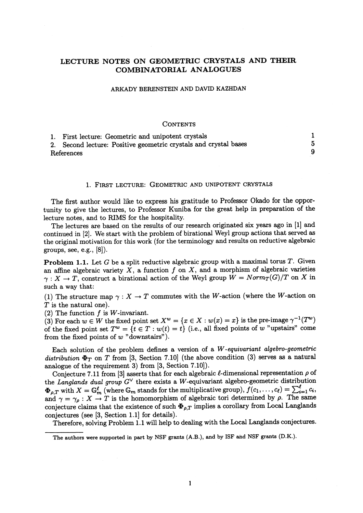# LECTURE NOTES ON GEOMETRIC CRYSTALS AND THEIR COMBINATORIAL ANALOGUES

#### ARKADY BERENSTEIN AND DAVID KAZHDAN

### **CONTENTS**

|            | 1. First lecture: Geometric and unipotent crystals               |  |
|------------|------------------------------------------------------------------|--|
|            | 2. Second lecture: Positive geometric crystals and crystal bases |  |
| References |                                                                  |  |

#### 1. FIRST LECTURE: GEOMETRIC AND UNIPOTENT CRYSTALS

The first author would like to express his gratitude to Professor Okado for the opportunity to give the lectures, to Professor Kuniba for the great help in preparation of the lecture notes, and to RIMS for the hospitality.

The lectures are based on the results of our research originated six years ago in [1] and continued in [2]. We start with the problem of birational Weyl group actions that served as the original motivation for this work (for the terminology and results on reductive algebraic groups, see, e.g.,  $[8]$ ).

**Problem 1.1.** Let G be a split reductive algebraic group with a maximal torus  $T$ . Given an affine algebraic variety  $X$ , a function  $f$  on  $X$ , and a morphism of algebraic varieties  $\gamma : X \rightarrow T$ , construct a birational action of the Weyl group  $W=Norm_{T}(G)/T$  on  $X$  in such a way that:

(1) The structure map  $\gamma : X \rightarrow T$  commutes with the W-action (where the W-action on  $T$  is the natural one).

(2) The function  $f$  is  $W$ -invariant.

(3) For each  $w\in W$  the fixed point set  $X^{w}=\{x\in X : w(x)=x\}$  is the pre-image  $\gamma^{-1}(T^{w})$ of the fixed point set  $T^{w}=\{t\in T : w(t)=t\}$  (i.e., all fixed points of w "upstairs" come from the fixed points of  $w$  "downstairs").

Each solution of the problem defines a version of a  $W$ -equivariant algebro-geometric distribution  $\Phi_{T}$  on T from [3, Section 7.10] (the above condition (3) serves as a natural analogue of the requirement  $3)$  from  $[3,$  Section  $7.10]$ ).

Conjecture 7.11 from [3] asserts that for each algebraic  $\ell$ -dimensional representation  $\rho$  of the Langlands dual group  $G^{\vee}$  there exists a W-equivariant algebro-geometric distribution  $\Phi_{\rho,T}$  with  $X=\mathbb{G}_{m}^{\ell}$  (where  $\mathbb{G}_{m}$  stands for the multiplicative group),  $\tilde{f}(c_{1}, \ldots , c_{\ell})=\sum_{i=1}^{\ell}c_{i},$ and  $\gamma=\gamma_{\rho} : X\rightarrow T$  is the homomorphism of algebraic tori determined by  $\rho$ . The same conjecture claims that the existence of such  $\Phi_{\rho,T}$  implies a corollary from Local Langlands conjectures (see [3, Section 1.1] for details).

Therefore, solving Problem 1.1 will help to dealing with the Local Langlands conjectures.

The authors were supported in part by NSF grants (A.B.), and by ISF and NSF grants (D.K.).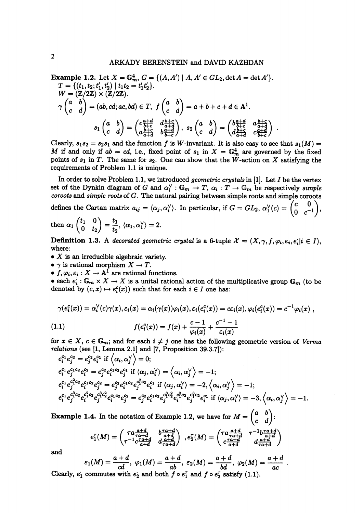**Example 1.2.** Let  $X=\mathbb{G}_{m}^{4}, G=\{(A, A')\mid A, A'\in GL_{2}, \det A=\det A'\}.$  $T=\{ (t_{1},t_{2};t_{1},t_{2})|t_{1}t_{2}\}=t_{1}t_{2}$ ,  $\mathbf{W}=(\mathbf{Z}/2\mathbf{Z})\times(\mathbf{Z}/2\mathbf{Z}).$  $\begin{array}{l}\nW = (\mathbb{Z}/2\mathbb{Z}) \times (\mathbb{Z}/2\mathbb{Z})\colon \\
\gamma\begin{pmatrix} a & b \\ c & d \end{pmatrix} = (ab, cd; ac, bd)\in T, \ f\begin{pmatrix} a & b \\ c & d \end{pmatrix}=a+b+c+d\in A^{1}.$  $s_1\begin{pmatrix} a & b \\ c & d \end{pmatrix} = \begin{pmatrix} c\frac{a+d}{b+c} & d\frac{b+c}{a+d} \\ a\frac{b+c}{c} & b\frac{a+d}{c} \end{pmatrix}, \ s_2\begin{pmatrix} a & b \\ c & d \end{pmatrix} = \begin{pmatrix} b\frac{a+d}{b+c} & a\frac{b+c}{a+d} \\ d\frac{b+c}{c} & c\frac{a+d}{c} \end{pmatrix} .$ 

Clearly,  $s_{1}s_{2}=s_{2}s_{1}$  and the function f is W-invariant. It is also easy to see that  $s_{1}(M)=$ M if and only if  $ab=cd$ , i.e., fixed point of  $s_{1}$  in  $X=\mathbb{G}_{m}^{4}$  are governed by the fixed points of  $s_{1}$  in T. The same for  $s_{2}$ . One can show that the W-action on X satisfying the requirements of Problem 1.1 is unique.

In order to solve Problem 1.1, we introduced *geometric crystals* in [1]. Let  $I$  be the vertex set of the Dynkin diagram of  $G$  and  $\alpha_{i}^{\vee} : \mathbb{G}_{m} \rightarrow T$ ,  $\alpha_{i} : T \rightarrow \mathbb{G}_{m}$  be respectively simple  $coroots$  and simple roots of  $G$ . The natural pairing between simple roots and simple coroots defines the Cartan matrix  $a_{ij}=\langle\alpha_{j}, \alpha_{i}^{\vee}\rangle$ . In particular, if  $G=GL_{2}$ ,  $\alpha_{1}^{\vee}(c)=\begin{pmatrix} c & 0 \\ 0 & -1 \end{pmatrix}$ ,

then 
$$
\alpha_1 \begin{pmatrix} t_1 & 0 \\ 0 & t_2 \end{pmatrix} = \frac{t_1}{t_2}, \langle \alpha_1, \alpha_1^{\vee} \rangle = 2.
$$

Definition 1.3. A decorated geometric crystal is a 6-tuple  $\mathcal{X}=(X,\gamma, f, \varphi_{i}, \varepsilon_{i}, e_{i}|i\in I),$ where:

- $\bullet$  X is an irreducible algebraic variety.
- $\bullet \ \gamma \text{ is rational morphism } X \to T.$
- $\bullet$   $f, \varphi_{i}, \varepsilon_{i} : X \rightarrow A^{1}$  are rational functions.

 $\bullet$  each  $e_{\mathbf{i}}: \mathbb{G}_{m}\times X\rightarrow X$  is a unital rational action of the multiplicative group  $\mathbb{G}_{m}$  (to be denoted by  $(c, x) \mapsto e_{i}^{c}(x)$  such that for each  $i \in I$  one has:

$$
\gamma(e_i^c(x)) = \alpha_i^{\vee}(c)\gamma(x), \varepsilon_i(x) = \alpha_i(\gamma(x))\varphi_i(x), \varepsilon_i(e_i^c(x)) = c\varepsilon_i(x), \varphi_i(e_i^c(x)) = c^{-1}\varphi_i(x),
$$
\n(1.1) 
$$
f(e_i^c(x)) = f(x) + \frac{c-1}{\varphi_i(x)} + \frac{c^{-1}-1}{\varepsilon_i(x)}
$$

for  $x \in X, c \in \mathbb{G}_{m}$ ; and for each  $i\neq j$  one has the following geometric version of Verma  $relations$  (see  $\left[1,\, {\rm Lemma}\,\, 2.1\right]$  and  $\left[7,\, {\rm Proposition}\,\, 39.3.7\right])$ :

$$
e_i^{c_1}e_j^{c_2} = e_j^{c_2}e_i^{c_1} \text{ if } \langle \alpha_i, \alpha_j^{\vee} \rangle = 0;
$$
  
\n
$$
e_i^{c_1}e_j^{c_1c_2}e_i^{c_2} = e_j^{c_2}e_i^{c_1c_2}e_j^{c_1} \text{ if } \langle \alpha_j, \alpha_i^{\vee} \rangle = \langle \alpha_i, \alpha_j^{\vee} \rangle = -1;
$$
  
\n
$$
e_i^{c_1}e_j^{c_1^2c_2}e_i^{c_1c_2}e_j^{c_2} = e_j^{c_2}e_i^{c_1c_2}e_j^{c_1^2c_2}e_i^{c_1} \text{ if } \langle \alpha_j, \alpha_i^{\vee} \rangle = -2, \langle \alpha_i, \alpha_j^{\vee} \rangle = -1;
$$
  
\n
$$
e_i^{c_1}e_j^{c_1^2c_2}e_i^{c_1^2c_2}e_j^{c_1^2c_2^2}e_i^{c_1c_2}e_j^{c_2^2}e_i^{c_1^2c_2}e_j^{c_1^2c_2}e_i^{c_1^2c_2}e_i^{c_1^2c_2}e_i^{c_1^2c_2}e_i^{c_1^2c_2}e_i^{c_1^2c_2}e_i^{c_1^2c_2}e_i^{c_1^2c_2}e_i^{c_1^2c_2}e_i^{c_1^2c_2}e_i^{c_1^2c_2}e_i^{c_1^2c_2}e_i^{c_1^2c_2}e_i^{c_1^2c_2}e_i^{c_1^2c_2}e_i^{c_1^2c_2}e_i^{c_1^2c_2}e_i^{c_1^2c_2}e_i^{c_1^2c_2}e_i^{c_1^2c_2}e_i^{c_1^2c_2}e_i^{c_1^2c_2}e_i^{c_1^2c_2}e_i^{c_1^2c_2}e_i^{c_1^2c_2}e_i^{c_1^2c_2}e_i^{c_1^2c_2}e_i^{c_1^2c_2}e_i^{c_1^2c_2}e_i^{c_1^2c_2}e_i^{c_1^2c_2}e_i^{c_1^2c_2}e_i^{
$$

**Example 1.4.** In the notation of Example 1.2, we have for  $M=\begin{pmatrix} a & b\\ c & d\end{pmatrix}$ :

$$
e_1^{\tau}(M) = \begin{pmatrix} \tau a \frac{a+d}{\tau a+d} & b \frac{\tau a+d}{a+d} \\ \tau^{-1} c \frac{\tau a+d}{a+d} & d \frac{a+d}{\tau a+d} \end{pmatrix}, e_2^{\tau}(M) = \begin{pmatrix} \tau a \frac{a+d}{\tau a+d} & \tau^{-1} b \frac{\tau a+d}{a+d} \\ c \frac{\tau a+d}{\tau a+d} & d \frac{a+d}{\tau a+d} \end{pmatrix}
$$

and

$$
\varepsilon_1(M)=\frac{a+d}{cd}, \ \varphi_1(M)=\frac{a+d}{ab}, \ \varepsilon_2(M)=\frac{a+d}{bd}, \ \varphi_2(M)=\frac{a+d}{ac}.
$$

Clearly,  $\dot{e}_1$  commutes with  $\dot{e}_2$  and both  $f \circ \dot{e}_1^{\tau}$  and  $f \circ \dot{e}_2^{\tau}$  satisfy (1.1).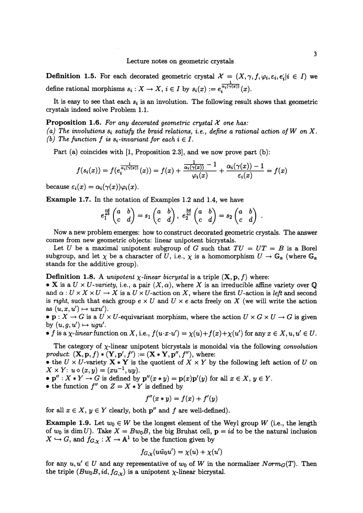**Definition 1.5.** For each decorated geometric crystal  $\mathcal{X}=(X, \gamma, f, \varphi_{i}, \varepsilon_{i}, e_{i}|i\in I)$  we define rational morphisms  $s_{i}: X \rightarrow X, i \in I$  by  $s_{i}(x) := e_i^{\alpha_{i}(\gamma(x))}(x)$ .

It is easy to see that each  $s_{i}$  is an involution. The following result shows that geometric crystals indeed solve Problem 1.1.

## **Proposition 1.6.** For any decorated geometric crystal  $\mathcal{X}$  one has:

(a) The involutions  $s_{i}$  satisfy the braid relations, i.e., define a rational action of W on X. (b) The function  $f$  is  $s_{i}$ -invariant for each  $i\in I$ .

Part (a) coincides with [1, Proposition 2.3], and we now prove part (b):

$$
f(s_i(x)) = f(e_i^{\frac{1}{\alpha_i(\gamma(x))}}(x)) = f(x) + \frac{\frac{1}{\alpha_i(\gamma(x))}-1}{\varphi_i(x)} + \frac{\alpha_i(\gamma(x))-1}{\varepsilon_i(x)} = f(x)
$$

because  $\varepsilon_{i}(x)=\alpha_{i}(\gamma(x))\varphi_{i}(x)$ .

Example 1.7. In the notation of Examples 1.2 and 1.4, we have

$$
e_1^{\frac{cd}{ab}}\begin{pmatrix} a & b \\ c & d \end{pmatrix} = s_1 \begin{pmatrix} a & b \\ c & d \end{pmatrix}, e_2^{\frac{bd}{ac}}\begin{pmatrix} a & b \\ c & d \end{pmatrix} = s_2 \begin{pmatrix} a & b \\ c & d \end{pmatrix}
$$

Now a new problem emerges: how to construct decorated geometric crystals. The answer comes from new geometric objects: linear unipotent bicrystals.

Let U be a maximal unipotent subgroup of  $G$  such that  $TU=UT=B$  is a Borel subgroup, and let  $\chi$  be a character of U, i.e.,  $\chi$  is a homomorphism  $U\rightarrow \mathbb{G}_{a}$  (where  $\mathbb{G}_{a}$ stands for the additive group).

# **Definition 1.8.** A *unipotent*  $\chi$ *-linear bicrystal* is a triple  $(X, p, f)$  where:

 $\bullet$  X is a  $U \times U$ -variety, i.e., a pair  $(X, \alpha)$ , where X is an irreducible affine variety over  $\mathbb{Q}$ and  $\alpha : U \times X \times U \rightarrow X$  is a  $U \times U$ -action on X, where the first U-action is left and second is right, such that each group  $e \times U$  and  $U \times e$  acts freely on X (we will write the action as  $(u, x, u') \mapsto uxu'$ ).

 $\bullet$  p:  $X\rightarrow G$  is a  $U\times U$ -equivariant morphism, where the action  $U\times G\times U\rightarrow G$  is given by  $(u, g, u') \mapsto ugu'.$ 

 $\bullet$  f is a x-linear function on X, i.e.,  $f(u\cdot x\cdot u')=\chi(u)+f(x)+\chi(u')$  for any  $x\in X, u,u'\in U.$ 

The category of  $\chi$ -linear unipotent bicrystals is monoidal via the following convolution product:  $(\mathbf{X}, \mathbf{p}, f)*(\mathbf{Y}, \mathbf{p}', f') := (\mathbf{X} * \mathbf{Y}, \mathbf{p}'', f'')$ , where:

 $\bullet$  the  $U\times U$ -variety  ${\bf X} *{\bf Y}$  is the quotient of  $X\times Y$  by the following left action of  $U$  on  $X \times Y: u \diamond (x, y) = (xu^{-1}, uy).$ 

 $\bullet \mathbf p'' : X*Y\rightarrow G$  is defined by  $\mathbf p''(x*y)=\mathbf p(x)\mathbf p'(y)$  for all  $x\in X, y\in Y.$ 

• the function  $f''$  on  $Z=X*Y$  is defined by

$$
f''(x * y) = f(x) + f'(y)
$$

for all  $x \in X, y \in Y$  clearly, both  $p''$  and  $f$  are well-defined).

**Example 1.9.** Let  $w_{0}\in W$  be the longest element of the Weyl group W (i.e., the length of  $w_{0}$  is  $\dim U$ ). Take  $X=Bw_{0}B$ , the big Bruhat cell,  ${\bf p}=id$  to be the natural inclusion  $X\hookrightarrow G,$  and  $f_{G,\chi}: X\rightarrow \mathbb{A}^{1}$  to be the function given by

$$
f_{G,\chi}(u\tilde{w}_0u')=\chi(u)+\chi(u')
$$

for any  $u, u' \in U$  and any representative of  $w_{0}$  of W in the normalizer  $Norm_{G}(T)$ . Then the triple  $(Bw_{0}B, id, f_{G,\chi})$  is a unipotent  $\chi$ -linear bicrystal.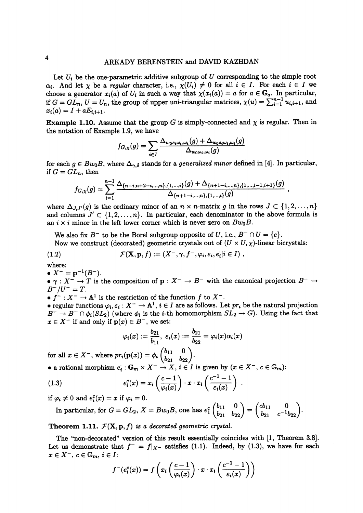Let  $U_{i}$  be the one-parametric additive subgroup of  $U$  corresponding to the simple root  $\alpha_{i}$ . And let  $\chi$  be a regular character, i.e.,  $\chi(U_{i})\neq 0$  for all  $i\in I$ . For each  $i\in I$  we choose a generator  $x_{i}(a)$  of  $U_{i}$  in such a way that  $\chi(x_{i}(a))=a$  for  $a\in \mathbb{G}_{a}$ . In particular, if  $G=GL_{n}$ ,  $U=U_{n}$ , the group of upper uni-triangular matrices,  $\chi(u)=\sum_{i=1}^{n-1}u_{i,i+1}$ , and  $x_{i}(a)=I+aE_{i,i+1}.$ 

**Example 1.10.** Assume that the group G is simply-connected and  $\chi$  is regular. Then in the notation of Example 1.9, we have

$$
f_{G,\chi}(g) = \sum_{i \in I} \frac{\Delta_{w_0 s_i \omega_i, \omega_i}(g) + \Delta_{w_0 s_i \omega_i, \omega_i}(g)}{\Delta_{w_0 \omega_i, \omega_i}(g)}
$$

for each  $g\in Bw_{0}B$ , where  $\Delta_{\gamma,\delta}$  stands for a *generalized minor* defined in [4]. In particular, if  $G=GL_{n}$ , then

$$
f_{G,\chi}(g) = \sum_{i=1}^{n-1} \frac{\Delta_{\{n-i,n+2-i,\ldots,n\},\{1,\ldots,i\}}(g) + \Delta_{\{n+1-i,\ldots,n\},\{1,\ldots,i-1,i+1\}}(g)}{\Delta_{\{n+1-i,\ldots,n\},\{1,\ldots,i\}}(g)},
$$

where  $\Delta_{J,J'}(g)$  is the ordinary minor of an  $n\times n$ -matrix g in the rows  $J\subset\{1,2, \ldots, n\}$ and columns  $J' \subset \{1, 2, \ldots, n\}$ . In particular, each denominator in the above formula is an  $i \times i$  minor in the left lower corner which is never zero on  $Bw_{0}B$ .

We also fix  $B^{-}$  to be the Borel subgroup opposite of U, i.e.,  $B^{-} \cap U = \{e\}.$ Now we construct (decorated) geometric crystals out of  $(U \times U, \chi)$ -linear bicrystals:

(1.2) 
$$
\mathcal{F}(\mathbf{X}, \mathbf{p}, f) := (X^-, \gamma, f^-, \varphi_i, \varepsilon_i, e_i | i \in I),
$$

where:

 $\bullet X^{-}=p^{-1}(B^{-}).$ 

 $\bullet \gamma : X^{-} \rightarrow T$  is the composition of  $\mathbf{p} : X^{-} \rightarrow B^{-}$  with the canonical projection  $B^{-} \rightarrow$  $B^{-}/U^{-}=T.$ 

 $\bullet$   $f^{-}:X^{-}\rightarrow \mathbb{A}^{1}$  is the restriction of the function  $f$  to  $X^{-}$ .

 $\bullet$  regular functions  $\varphi_{i}, \varepsilon_{i}:X^{-}\rightarrow \mathbb{A}^{1}, i\in I$  are as follows. Let  $pr_{i}$  be the natural projection  $B^{-}\rightarrow B^{-}\cap\phi_{i}(SL_{2})$  (where  $\phi_{i}$  is the *i*-th homomorphism  $SL_{2}\rightarrow G$ ). Using the fact that  $x \in X^{-}$  if and only if  $p(x) \in B^{-}$ , we set:

$$
\varphi_i(x):=\frac{b_{21}}{b_{11}}, \ \varepsilon_i(x):=\frac{b_{21}}{b_{22}}=\varphi_i(x)\alpha_i(x)
$$

for all  $x\in X^{-}$ , where  $pr_{i}(\mathbf{p}(x))=\phi_{i}\begin{pmatrix}0&11&0\\b_{22}&b_{22}\end{pmatrix}$ .

• a rational morphism 
$$
e_i : \mathbb{G}_m \times X^- \to X
$$
,  $i \in I$  is given by  $(x \in X^-, c \in \mathbb{G}_m)$ :

(1.3) 
$$
e_i^c(x) = x_i \left( \frac{c-1}{\varphi_i(x)} \right) \cdot x \cdot x_i \left( \frac{c^{-1} - 1}{\varepsilon_i(x)} \right)
$$

if  $\varphi_{i}\neq 0$  and  $e_{i}^{c}(x)=x$  if  $\varphi_{i}=0.$ 

In particular, for  $G=GL_{2}$ ,  $X= Bw_{0}B$ , one has  $e_{1}^{c}\begin{pmatrix}b_{11} & 0\\ b_{21} & b_{22}\end{pmatrix}=\begin{pmatrix}cb_{11} & 0\\ b_{21} & c^{-1}b_{22}\end{pmatrix}.$ 

Theorem 1.11.  $\mathcal{F}(X, p, f)$  is a decorated geometric crystal.

The "non-decorated" version of this result essentially coincides with [1, Theorem 3.8]. Let us demonstrate that  $f^{-}=f|_{X^{-}}$  satisfies (1.1). Indeed, by (1.3), we have for each  $x \in X^{-}$ ,  $c \in \mathbb{G}_{m}, i \in I$ :

$$
f^-(e_i^c(x)) = f\left(x_i\left(\frac{c-1}{\varphi_i(x)}\right) \cdot x \cdot x_i\left(\frac{c^{-1}-1}{\varepsilon_i(x)}\right)\right)
$$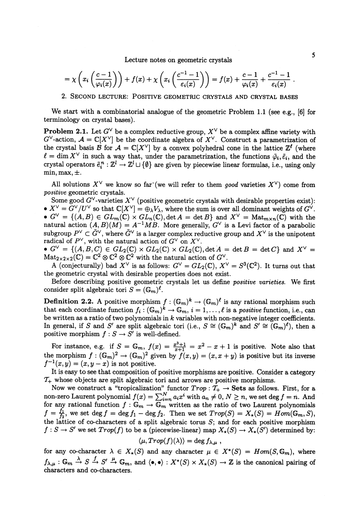Lecture notes on geometric crystals 5

$$
= \chi\left(x_i\left(\frac{c-1}{\varphi_i(x)}\right)\right) + f(x) + \chi\left(x_i\left(\frac{c^{-1}-1}{\varepsilon_i(x)}\right)\right) = f(x) + \frac{c-1}{\varphi_i(x)} + \frac{c^{-1}-1}{\varepsilon_i(x)}
$$

2. SECOND LECTURE: POSITIVE GEOMETRIC CRYSTALS AND CRYSTAL BASES

We start with a combinatorial analogue of the geometric Problem 1.1 (see e.g., [6] for terminology on crystal bases).

**Problem 2.1.** Let  $G^{\vee}$  be a complex reductive group,  $X^{\vee}$  be a complex affine variety with  $G^{\vee}$ -action,  $\mathcal{A}=\mathbb{C}[X^{\vee}]$  be the coordinate algebra of  $X^{\vee}$ . Construct a parametrization of the crystal basis  $\mathcal{B}$  for  $\mathcal{A}=\mathbb{C}[X^{\vee}]$  by a convex polyhedral cone in the lattice  $\mathbb{Z}^{\ell}$  (where  $\ell=\dim X^{\vee}$  in such a way that, under the parametrization, the functions  $\tilde{\varphi}_{i},\tilde{\varepsilon}_{i}$ , and the crystal operators  $\tilde{e}_{i}^{n}: \mathbb{Z}^{l}\rightarrow \mathbb{Z}^{l}\cup\{\emptyset\}$  are given by piecewise linear formulas, i.e., using only min, max,  $\pm$ .

All solutions  $X^{\vee}$  we know so far (we will refer to them good varieties  $X^{\vee}$ ) come from positive geometric crystals.

Some good  $G^{\vee}$ -varieties  $X^{\vee}$  (positive geometric crystals with desirable properties exist):  $\bullet X^{\vee}=G^{\vee}/U^{\vee}$  so that  $\mathbb{C}[X^{\vee}]=\oplus_{\lambda}V_{\lambda}$ , where the sum is over all dominant weights of  $G^{\vee}$ .  $\bullet \,\, G^{\vee}=\{(A, B)\in GL_{m}(\mathbb{C})\times GL_{n}(\mathbb{C}), \det A=\det B\} \, \, \text{and} \,\, X^{\vee}=\operatorname{Mat}_{m\times n}(\mathbb{C}) \, \, \text{with} \,\, \text{the}$ natural action  $(A, B)(M) = A^{-1}MB$ . More generally,  $G^{\vee}$  is a Levi factor of a parabolic  $\text{subgroup } P^{\vee} \subset G^{\vee}, \text{ where } \tilde{G}^{\vee} \text{ is a larger complex reductive group and } X^{\vee} \text{ is the unipotent }$ radical of  $P^{\vee}$ , with the natural action of  $G^{\vee}$  on  $X^{\vee}$ .

 $\bullet$   $G^{\vee}=\{(A, B, C)\in GL_{2}(\mathbb{C})\times GL_{2}(\mathbb{C})\times GL_{2}(\mathbb{C}), \det A=\det B=\det C\}$  and  $X^{\vee}=$  $\text{Mat}_{2\times 2\times 2}(\mathbb{C})=\mathbb{C}^{2}\otimes \mathbb{C}^{2}\otimes \mathbb{C}^{2}$  with the natural action of  $G^{\vee}$ .

A (conjecturally) bad  $X^{\vee}$  is as follows:  $G^{\vee}=GL_{2}(\mathbb{C}),$   $X^{\vee}=S^{3}(\mathbb{C}^{2})$ . It turns out that the geometric crystal with desirable properties does not exist.

Before describing positive geometric crystals let us define positive varieties. We first consider split algebraic tori  $S=(\mathbb{G}_{m})^{\ell}$ .

**Definition 2.2.** A positive morphism  $f : (\mathbb{G}_{m})^{k} \rightarrow (\mathbb{G}_{m})^{\ell}$  is any rational morphism such  $\text{that each coordinate function } f_{i}: (\mathbb{G}_{m})^{k}\rightarrow \mathbb{G}_{m}, \, i=1,\ldots,\ell \text{ is a positive function, i.e., can}$ be written as a ratio of two polynomials in  $k$  variables with non-negative integer coefficients. In general, if S and S' are split algebraic tori (i.e.,  $S\cong(\mathbb{G}_{m})^{k}$  and  $S'\cong(\mathbb{G}_{m})^{\ell}$ ), then a positive morphism  $f:S\rightarrow S'$  is well-defined.

For instance, e.g. if  $S=\mathbb{G}_{m}$ ,  $f(x)=\frac{x^{3}+1}{x+1}=x^{2}-x+1$  is positive. Note also that the morphism  $f: (\mathbb{G}_{m})^{2}\rightarrow(\mathbb{G}_{m})^{2}$  given by  $f(x, y)=(x, x+y)$  is positive but its inverse  $f^{-1}(x, y)=(x, y-x)$  is not positive.

It is easy to see that composition of positive morphisms are positive. Consider a category  $\mathcal{T}_{+}$  whose objects are split algebraic tori and arrows are positive morphisms.

Now we construct a "tropicalization" functor  $Trop: \mathcal{T}_{+}\rightarrow \mathbf{Sets}$  as follows. First, for a non-zero Laurent polynomial  $f(x)=\sum_{i=n}^{N}a_{i}x^{i}$  with  $a_{n}\neq 0,$   $N\geq n,$  we set  $\deg f=n.$  And for any rational function  $f : \mathbb{G}_{m} \rightarrow \mathbb{G}_{m}$  written as the ratio of two Laurent polynomials  $f=\frac{11}{f_2},$  we set  $\deg f=\deg f_{1}-\deg f_{2}.$  Then we set  $Trop(S)=X_{\star}(S)=Hom(\mathbb{G}_{m}, S) ,$ the lattice of co-characters of a split algebraic torus  $S$ ; and for each positive morphism  $f : S \rightarrow S'$  we set  $Trop(f)$  to be a (piecewise-linear) map  $X_{\star}(S) \rightarrow X_{\star}(S')$  determined by:  $\frac{\pi}{\sqrt{2}}$  (e)(x))

$$
\langle \mu, Trop(f)(\lambda) \rangle = \deg f_{\lambda, \mu} ,
$$

for any co-character  $\lambda\in X_{\star}(S)$  and any character  $\mu\in X^{\star}(S)=Hom(S, \mathbb{G}_{m})$ , where  $f_{\lambda,\mu}: \mathbb{G}_m \stackrel{\lambda}{\to} S \stackrel{f}{\to} S' \stackrel{\mu}{\to} \mathbb{G}_m$ , and  $\langle \bullet, \bullet \rangle : X^{\star}(S) \times X_{\star}(S) \to \mathbb{Z}$  is the canonical pairing of characters and co-characters.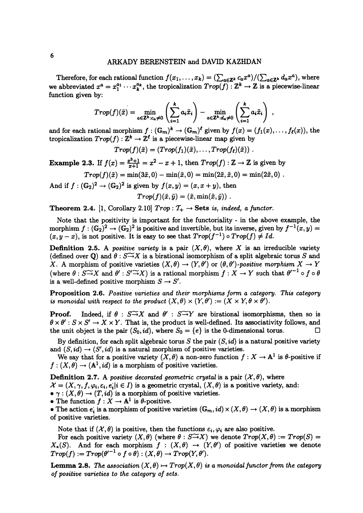Therefore, for each rational function  $f(x_{1}, \ldots,x_{k})=(\sum_{a\in \mathbb{Z}^{k}}c_{a}x^{a})/(\sum_{a\in \mathbb{Z}^{k}}d_{a}x^{a})$ , where we abbreviated  $x^a=x_{1}^{a_{1}}\cdots x_{k}^{a_{k}}$ , the tropicalization  $Trop(f) : \mathbb{Z}^{k}\rightarrow \mathbb{Z}$  is a piecewise-linear function given by:

$$
Trop(f)(\tilde{x}) = \min_{a \in \mathbb{Z}^k : c_a \neq 0} \left( \sum_{i=1}^k a_i \tilde{x}_i \right) - \min_{a \in \mathbb{Z}^k : d_a \neq 0} \left( \sum_{i=1}^k a_i \tilde{x}_i \right) ,
$$

and for each rational morphism  $f : (\mathbb{G}_{m})^{k} \rightarrow (\mathbb{G}_{m})^{\ell}$  given by  $f(x)=(f_{1}(x), \ldots, f_{\ell}(x)),$  the tropicalization  $Trop(f) : \mathbb{Z}^{k} \rightarrow \mathbb{Z}^{\ell}$  is a piecewise-linear map given by

$$
Trop(f)(\tilde{x}) = (Trop(f_1)(\tilde{x}), \ldots, Trop(f_{\ell})(\tilde{x}))
$$

**Example 2.3.** If  $f(x)=\frac{x^{3}+1}{x+1}=x^{2}-x+1$ , then  $Trop(f):\mathbb{Z}\rightarrow \mathbb{Z}$  is given by

 $Trop(f)(\tilde{x})=\min(3\tilde{x}, 0)-\min(\tilde{x}, 0)=\min(2\tilde{x}, \tilde{x}, 0)=\min(2\tilde{x}, 0)$ .

And if  $f : (\mathbb{G}_{2})^{2} \rightarrow (\mathbb{G}_{2})^{2}$  is given by  $f(x, y)=(x, x+y)$ , then

 $Trop(f)(\tilde{x},\tilde{y})=(\tilde{x}, \min(\tilde{x},\tilde{y}))$ .

Theorem 2.4. [1, Corollary 2.10]  $Trop: \mathcal{T}_{+}\rightarrow \mathbf{Sets}$  is, indeed, a functor.

Note that the positivity is important for the functoriality- in the above example, the morphism  $f : (\mathbb{G}_{2})^{2} \rightarrow (\mathbb{G}_{2})^{2}$  is positive and invertible, but its inverse, given by  $f^{-1}(x, y)=$  $(x, y-x)$ , is not positive. It is easy to see that  $Trop(f^{-1})\circ Trop(f)\neq Id.$ 

**Definition 2.5.** A *positive variety* is a pair  $(X,\theta)$ , where X is an irreducible variety (defined over  $\mathbb{Q}$ ) and  $\theta: S\widetilde{\rightarrow} X$  is a birational isomorphism of a split algebraic torus S and X. A morphism of positive varieties  $(X, \theta) \rightarrow (Y, \theta')$  or  $(\theta, \theta')$ -positive morphism  $X \rightarrow Y$ (where  $\theta: S\widetilde{\rightarrow}X$  and  $\theta': S'\widetilde{\rightarrow}X$ ) is a rational morphism  $f: X\rightarrow Y$  such that  $\theta'^{-1}\circ f\circ\theta$ is a well-defined positive morphism  $S \rightarrow S'$ .

Proposition 2.6. Positive varieties and their morphisms form a category. This category is monoidal with respect to the product  $(X, \theta)\times(Y, \theta'):= (X\times Y, \theta\times\theta').$ 

**Proof.** Indeed, if  $\theta : S \rightarrow X$  and  $\theta' : S \rightarrow Y$  are birational isomorphisms, then so is  $\theta\times\theta': S\times S'\rightarrow X\times Y$ . That is, the product is well-defined. Its associativity follows, and the unit object is the pair  $(S_{0},id)$ , where  $S_{0}=\{e\}$  is the 0-dimensional torus.

By definition, for each split algebraic torus  $S$  the pair  $(S, id)$  is a natural positive variety and  $(S, id) \rightarrow (S', id)$  is a natural morphism of positive varieties.

We say that for a positive variety  $(X, \theta)$  a non-zero function  $f : X \rightarrow \mathbb{A}^{1}$  is  $\theta$ -positive if  $f : (X, \theta) \rightarrow (A^{1}, id)$  is a morphism of positive varieties.

**Definition 2.7.** A positive decorated geometric crystal is a pair  $(\mathcal{X}, \theta)$ , where

 $\mathcal{X}=(X,\gamma, f, \varphi_{i}, \varepsilon_{i}, e_{i}|i\in I)$  is a geometric crystal,  $(X, \theta)$  is a positive variety, and:

 $\bullet$   $\gamma : (X, \theta) \rightarrow (T, id)$  is a morphism of positive varieties.

• The function  $f : X \rightarrow \mathbb{A}^{1}$  is  $\theta$ -positive.

 $\bullet$  The action  $e_{\mathbf{i}}$  is a morphism of positive varieties  $(\mathbb{G}_{m}, id)\times(X, \theta)\rightarrow(X, \theta)$  is a morphism of positive varieties.

Note that if  $(\mathcal{X}, \theta)$  is positive, then the functions  $\varepsilon_{i}, \varphi_{i}$  are also positive.

For each positive variety  $(X, \theta)$  (where  $\theta : S \rightarrow X$ ) we denote  $Trop(X, \theta) := Trop(S)$  $X_{\star}(S)$ . And for each morphism  $f : (X, \theta) \rightarrow (Y, \theta')$  of positive varieties we denote  $Trop(f) := Trop(\theta'^{-1}\circ f\circ\theta) : (X, \theta) \rightarrow Trop(Y, \theta').$ 

**Lemma 2.8.** The association  $(X, \theta) \mapsto Trop(X, \theta)$  is a monoidal functor from the category of positive varieties to the category of sets.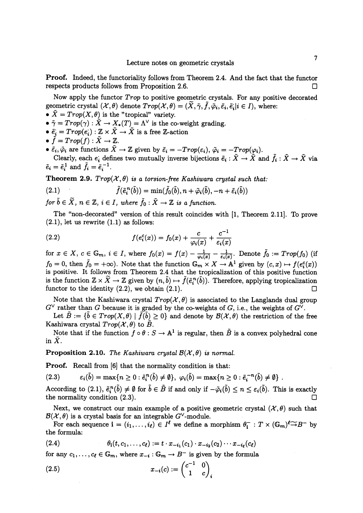Proof. Indeed, the functoriality follows from Theorem 2.4. And the fact that the functor respects products follows from Proposition 2.6.  $\Box$ 

Now apply the functor Trop to positive geometric crystals. For any positive decorated  $\text{geometric crystal } (\mathcal{X}, \theta) \text{ denote } Trop (\mathcal{X},\theta)=(\tilde{X},\tilde{\gamma},\tilde{f},\tilde{\varphi}_{i},\tilde{\varepsilon}_{i}|\text{}i\in I),\text{ where:}$ 

- $\boldsymbol{\tilde{X}}=Trop(X, \theta)$  is the "tropical" variety.
- $\tilde{\gamma}=Trop(\gamma) : \tilde{X}\rightarrow X_{*}(T)=\Lambda^{\vee}$  is the co-weight grading.
- $\bullet~\tilde{e}_{i}=Trop(e_{i}): \mathbb{Z}\times X\rightarrow X~\text{is a free }\mathbb{Z}\text{-action}$
- $\bullet \tilde{f}=Trop(f):\tilde{X}\rightarrow \mathbb{Z}.$
- $\bullet \tilde{\varepsilon}_{i},\tilde{\varphi}_{i}$  are functions  $X\rightarrow \mathbb{Z}$  given by  $\tilde{\varepsilon}_{i}=-Trop(\varepsilon_{i}),\tilde{\varphi}_{i}=-Trop(\varphi_{i}).$ Clearly, each  $e_{i}$  defines two mutually inverse bijections  $\tilde{e}_{i}:X\rightarrow\overline{X}$  and  $f_{i}:\overline{X}\rightarrow\overline{X}$  via  $\tilde{e}_{i}=\tilde{e}_{i}^{1}$  and  $\tilde{f}_{i}=\tilde{e}_{i}^{-1}$ .

**Theorem 2.9.**  $Trop(\mathcal{X}, \theta)$  is a torsion-free Kashiwara crystal such that:

(2.1) 
$$
\tilde{f}(\tilde{e}_i^n(\tilde{b})) = \min(\tilde{f}_0(\tilde{b}), n + \tilde{\varphi}_i(\tilde{b}), -n + \tilde{\varepsilon}_i(\tilde{b}))
$$

for  $b\in X, \ n\in \mathbb{Z}, \ i\in I, \ where \ f_{0}: X\rightarrow \mathbb{Z} \ is \ a \ function.$ 

The "non-decorated" version of this result coincides with [1, Theorem 2.11]. To prove  $(2.1)$ , let us rewrite  $(1.1)$  as follows:

(2.2) 
$$
f(e_i^c(x)) = f_0(x) + \frac{c}{\varphi_i(x)} + \frac{c^{-1}}{\varepsilon_i(x)}
$$

for  $x\in X, c\in \mathbb{G}_{m}$ ,  $i\in I$ , where  $f_{0}(x)=f(x)-\frac{1}{\varphi_{i}(x)}-\frac{1}{\varepsilon_{i}(x)}$ . Denote  $\tilde{f}_{0}:=Trop(f_{0})$  (if  $f_{0}=0$ , then  $\tilde{f}_{0}=+\infty$ ). Note that the function  $\mathbb{G}_{m}\times X\rightarrow \mathbb{A}^{1}$  given by  $(c, x)\mapsto f(e_{i}^{c}(x))$ is positive. It follows from Theorem 2.4 that the tropicalization of this positive function is the function  $\mathbb{Z}\times X\rightarrow \mathbb{Z}$  given by  $(n,b)\mapsto f(\tilde{e}_{i}^{n}(b))$ . Therefore, applying tropicalization functor to the identity  $(2.2)$ , we obtain  $(2.1)$ .

Note that the Kashiwara crystal  $Trop(\mathcal{X}, \theta)$  is associated to the Langlands dual group  $G^{\vee}$  rather than  $G$  because it is graded by the co-weights of  $G$ , i.e., the weights of  $G^{\vee}$ .

Let  $B := \{b \in Trop(X, \theta) \mid f(b) \geq 0\}$  and denote by  $\mathcal{B}(\mathcal{X}, \theta)$  the restriction of the free Kashiwara crystal  $Trop(\mathcal{X}, \theta)$  to  $\tilde{B}$ .

Note that if the function  $f \circ \theta : S \rightarrow \mathbb{A}^{1}$  is regular, then  $\tilde{B}$  is a convex polyhedral cone in  $\overline{X}$ .

**Proposition 2.10.** The Kashiwara crystal  $\mathcal{B}(\mathcal{X}, \theta)$  is normal.

Proof. Recall from [6] that the normality condition is that:

$$
(2.3) \qquad \epsilon_i(\tilde{b}) = \max\{n \geq 0 : \tilde{e}_i^n(\tilde{b}) \neq \emptyset\}, \ \varphi_i(\tilde{b}) = \max\{n \geq 0 : \tilde{e}_i^{-n}(\tilde{b}) \neq \emptyset\}.
$$

According to  $(2.1), \tilde{e}_{i}^{n}(\textit{b})\neq\emptyset$  for  $\textit{b}\in\dot{B}$  if and only if  $-\tilde{\varphi}_{i}(\textit{b})\leq n\leq\varepsilon_{i}(\textit{b})$ . This is exactly the normality condition  $(2.3)$ .

Next, we construct our main example of a positive geometric crystal  $(\mathcal{X}, \theta)$  such that  $\mathcal{B}(\mathcal{X}, \theta)$  is a crystal basis for an integrable  $G^{\vee}$ -module.

For each sequence  $\mathbf{i}=(i_{1}, \ldots, i_{\ell})\in I^{\ell}$  we define a morphism  $\theta_{\mathbf{i}}^{-}:T\times(\mathbb{G}_{m})^{\ell}\widetilde{\rightarrow} B^{-}$  by the formula:

(2.4) 
$$
\theta_{i}(t, c_{1}, \ldots, c_{\ell}) := t \cdot x_{-i_{1}}(c_{1}) \cdot x_{-i_{2}}(c_{2}) \cdots x_{-i_{\ell}}(c_{\ell})
$$

for any  $c_{1}, \ldots, c_{\ell} \in \mathbb{G}_{m}$ , where  $x_{-i}: \mathbb{G}_{m} \rightarrow B^{-}$  is given by the formula

(2.5) 
$$
x_{-i}(c) := \begin{pmatrix} c^{-1} & 0 \\ 1 & c \end{pmatrix}_{i}.
$$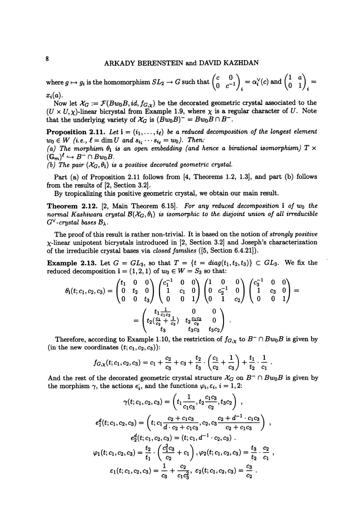## ARKADY BERENSTEIN and DAVID KAZHDAN

where  $g\mapsto g_{i}$  is the homomorphism  $SL_{2}\rightarrow G$  such that  $\left(\begin{matrix} c & 0\ 0 & c^{-1}\end{matrix}\right)_{i}=\alpha_{i}^{\vee}(c)$  and  $\left(\begin{matrix} 1 & a\ 0 & 1\end{matrix}\right)_{i}=$  $x_{i}(a)$ .

Now let  $\mathcal{X}_{G}:=\mathcal{F}(Bw_{0}B, id, f_{G,\chi})$  be the decorated geometric crystal associated to the  $(U \times U,\chi)$ -linear bicrystal from Example 1.9, where  $\chi$  is a regular character of  $U$ . Note that the underlying variety of  $\mathcal{X}_{G}$  is  $(Bw_{0}B)^{-}=Bw_{0}B\cap B^{-}$ .

**Proposition 2.11.** Let  $i = (i_{1}, \ldots, i_{\ell})$  be a reduced decomposition of the longest element  $w_{0}\in W \ \ (i.e., \ \ell=\dim U \ \ and \ \ s_{i_{1}}\cdots s_{i_{\ell}}=w_{0}).$  Then: (a) The morphism  $\theta_{i}$  is an open embedding (and hence a birational isomorphism)  $T\times$  $(\mathbb{G}_{m})^{\ell}\hookrightarrow B^{-}\cap Bw_{0}B.$ 

(b) The pair  $(\mathcal{X}_{G}, \theta_{i})$  is a positive decorated geometric crystal.

Part (a) of Proposition 2.11 follows from [4, Theorems 1.2, 1.3], and part (b) follows from the results of [2, Section 3.2].

By tropicalizing this positive geometric crystal, we obtain our main result.

**Theorem 2.12.** [2, Main Theorem 6.15]. For any reduced decomposition  $\mathbf{i}$  of  $w_{0}$  the normal Kashiwara crystal  $\mathcal{B}(\mathcal{X}_{G}, \theta_{i})$  is isomorphic to the disjoint union of all irreducible  $G^{\vee}$ -crystal bases  $\mathcal{B}_{\lambda}$ .

The proof of this result is rather non-trivial. It is based on the notion of *strongly positive*  $\chi$ -linear unipotent bicrystals introduced in [2, Section 3.2] and Joseph's characterization of the irreducible crystal bases via closed families ([5, Section 6.4.21]).

**Example 2.13.** Let  $G=GL_{3}$ , so that  $T=\{t=diag(t_{1}, t_{2}, t_{3})\}\subset GL_{3}$ . We fix the reduced decomposition  $\mathbf{i}=(1,2,1)$  of  $w_{0}\in W=S_{3}$  so that:

$$
\theta_{\mathbf{i}}(t;c_1,c_2,c_3) = \begin{pmatrix} t_1 & 0 & 0 \\ 0 & t_2 & 0 \\ 0 & 0 & t_3 \end{pmatrix} \begin{pmatrix} c_1^{-1} & 0 & 0 \\ 1 & c_1 & 0 \\ 0 & 0 & 1 \end{pmatrix} \begin{pmatrix} 1 & 0 & 0 \\ 0 & c_2^{-1} & 0 \\ 0 & 1 & c_2 \end{pmatrix} \begin{pmatrix} c_3^{-1} & 0 & 0 \\ 1 & c_3 & 0 \\ 0 & 0 & 1 \end{pmatrix} = \begin{pmatrix} t_1 \frac{1}{c_1 c_3} & 0 & 0 \\ t_2 \left(\frac{c_1}{c_2} + \frac{1}{c_3}\right) & t_2 \frac{c_1 c_3}{c_2} & 0 \\ t_3 & t_3 c_3 & t_3 c_2 \end{pmatrix}.
$$

Therefore, according to Example 1.10, the restriction of  $f_{G,\chi}$  to  $B^{-}\cap Bw_{0}B$  is given by (in the new coordinates  $(t; c_{1}, c_{2}, c_{3})$ ):

$$
f_{G,\chi}(t;c_1,c_2,c_3)=c_1+\frac{c_2}{c_3}+c_3+\frac{t_2}{t_3}\cdot\left(\frac{c_1}{c_2}+\frac{1}{c_3}\right)+\frac{t_1}{t_2}\cdot\frac{1}{c_1}
$$

And the rest of the decorated geometric crystal structure  $\mathcal{X}_{G}$  on  $B^{-}\cap Bw_{0}B$  is given by the morphism  $\gamma$ , the actions  $e_{\boldsymbol{i}}$ , and the functions  $\varphi_{i},\varepsilon_{i},\,i=1,2$ :

$$
\gamma(t; c_1, c_2, c_3) = \left(t_1 \frac{1}{c_1 c_3}, t_2 \frac{c_1 c_3}{c_2}, t_3 c_2\right),
$$
  
\n
$$
e_1^d(t; c_1, c_2, c_3) = \left(t; c_1 \frac{c_2 + c_1 c_3}{d \cdot c_2 + c_1 c_3}, c_2, c_3 \frac{c_2 + d^{-1} \cdot c_1 c_3}{c_2 + c_1 c_3}\right),
$$
  
\n
$$
e_2^d(t; c_1, c_2, c_3) = (t; c_1, d^{-1} \cdot c_2, c_3).
$$
  
\n
$$
\varphi_1(t; c_1, c_2, c_3) = \frac{t_2}{t_1} \cdot \left(\frac{c_1^2 c_3}{c_2} + c_1\right), \varphi_2(t; c_1, c_2, c_3) = \frac{t_3}{t_2} \cdot \frac{c_2}{c_1},
$$
  
\n
$$
\varepsilon_1(t; c_1, c_2, c_3) = \frac{1}{c_3} + \frac{c_2}{c_1 c_3^2}, \varepsilon_2(t; c_1, c_2, c_3) = \frac{c_3}{c_2}.
$$